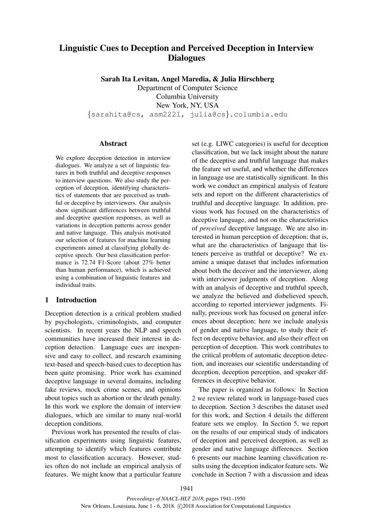# Linguistic Cues to Deception and Perceived Deception in Interview **Dialogues**

Sarah Ita Levitan, Angel Maredia, & Julia Hirschberg

Department of Computer Science Columbia University New York, NY, USA {sarahita@cs, asm2221, julia@cs}.columbia.edu

## **Abstract**

We explore deception detection in interview dialogues. We analyze a set of linguistic features in both truthful and deceptive responses to interview questions. We also study the perception of deception, identifying characteristics of statements that are perceived as truthful or deceptive by interviewers. Our analysis show significant differences between truthful and deceptive question responses, as well as variations in deception patterns across gender and native language. This analysis motivated our selection of features for machine learning experiments aimed at classifying globally deceptive speech. Our best classification performance is 72.74 F1-Score (about 27% better than human performance), which is achieved using a combination of linguistic features and individual traits.

# 1 Introduction

Deception detection is a critical problem studied by psychologists, criminologists, and computer scientists. In recent years the NLP and speech communities have increased their interest in deception detection. Language cues are inexpensive and easy to collect, and research examining text-based and speech-based cues to deception has been quite promising. Prior work has examined deceptive language in several domains, including fake reviews, mock crime scenes, and opinions about topics such as abortion or the death penalty. In this work we explore the domain of interview dialogues, which are similar to many real-world deception conditions.

Previous work has presented the results of classification experiments using linguistic features, attempting to identify which features contribute most to classification accuracy. However, studies often do not include an empirical analysis of features. We might know that a particular feature set (e.g. LIWC categories) is useful for deception classification, but we lack insight about the nature of the deceptive and truthful language that makes the feature set useful, and whether the differences in language use are statistically significant. In this work we conduct an empirical analysis of feature sets and report on the different characteristics of truthful and deceptive language. In addition, previous work has focused on the characteristics of deceptive language, and not on the characteristics of *perceived* deceptive language. We are also interested in human perception of deception; that is, what are the characteristics of language that listeners perceive as truthful or deceptive? We examine a unique dataset that includes information about both the deceiver and the interviewer, along with interviewer judgments of deception. Along with an analysis of deceptive and truthful speech, we analyze the believed and disbelieved speech, according to reported interviewer judgments. Finally, previous work has focused on general inferences about deception; here we include analysis of gender and native language, to study their effect on deceptive behavior, and also their effect on perception of deception. This work contributes to the critical problem of automatic deception detection, and increases our scientific understanding of deception, deception perception, and speaker differences in deceptive behavior.

The paper is organized as follows: In Section 2 we review related work in language-based cues to deception. Section 3 describes the dataset used for this work, and Section 4 details the different feature sets we employ. In Section 5, we report on the results of our empirical study of indicators of deception and perceived deception, as well as gender and native language differences. Section 6 presents our machine learning classification results using the deception indicator feature sets. We conclude in Section 7 with a discussion and ideas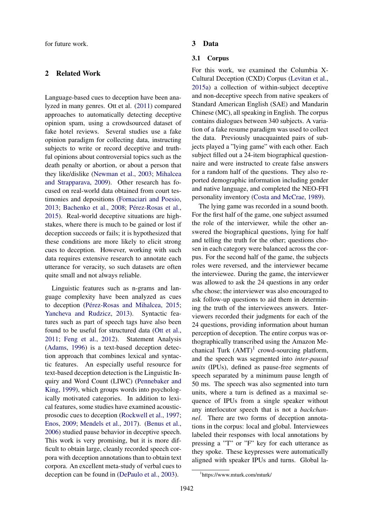for future work.

# 2 Related Work

Language-based cues to deception have been analyzed in many genres. Ott et al. (2011) compared approaches to automatically detecting deceptive opinion spam, using a crowdsourced dataset of fake hotel reviews. Several studies use a fake opinion paradigm for collecting data, instructing subjects to write or record deceptive and truthful opinions about controversial topics such as the death penalty or abortion, or about a person that they like/dislike (Newman et al., 2003; Mihalcea and Strapparava, 2009). Other research has focused on real-world data obtained from court testimonies and depositions (Fornaciari and Poesio, 2013; Bachenko et al., 2008; Pérez-Rosas et al., 2015). Real-world deceptive situations are highstakes, where there is much to be gained or lost if deception succeeds or fails; it is hypothesized that these conditions are more likely to elicit strong cues to deception. However, working with such data requires extensive research to annotate each utterance for veracity, so such datasets are often quite small and not always reliable.

Linguistic features such as n-grams and language complexity have been analyzed as cues to deception (Pérez-Rosas and Mihalcea, 2015; Yancheva and Rudzicz, 2013). Syntactic features such as part of speech tags have also been found to be useful for structured data (Ott et al., 2011; Feng et al., 2012). Statement Analysis (Adams, 1996) is a text-based deception detection approach that combines lexical and syntactic features. An especially useful resource for text-based deception detection is the Linguistic Inquiry and Word Count (LIWC) (Pennebaker and King, 1999), which groups words into psychologically motivated categories. In addition to lexical features, some studies have examined acousticprosodic cues to deception (Rockwell et al., 1997; Enos, 2009; Mendels et al., 2017). (Benus et al., 2006) studied pause behavior in deceptive speech. This work is very promising, but it is more difficult to obtain large, cleanly recorded speech corpora with deception annotations than to obtain text corpora. An excellent meta-study of verbal cues to deception can be found in (DePaulo et al., 2003).

#### 3 Data

## 3.1 Corpus

For this work, we examined the Columbia X-Cultural Deception (CXD) Corpus (Levitan et al., 2015a) a collection of within-subject deceptive and non-deceptive speech from native speakers of Standard American English (SAE) and Mandarin Chinese (MC), all speaking in English. The corpus contains dialogues between 340 subjects. A variation of a fake resume paradigm was used to collect the data. Previously unacquainted pairs of subjects played a "lying game" with each other. Each subject filled out a 24-item biographical questionnaire and were instructed to create false answers for a random half of the questions. They also reported demographic information including gender and native language, and completed the NEO-FFI personality inventory (Costa and McCrae, 1989).

The lying game was recorded in a sound booth. For the first half of the game, one subject assumed the role of the interviewer, while the other answered the biographical questions, lying for half and telling the truth for the other; questions chosen in each category were balanced across the corpus. For the second half of the game, the subjects roles were reversed, and the interviewer became the interviewee. During the game, the interviewer was allowed to ask the 24 questions in any order s/he chose; the interviewer was also encouraged to ask follow-up questions to aid them in determining the truth of the interviewees answers. Interviewers recorded their judgments for each of the 24 questions, providing information about human perception of deception. The entire corpus was orthographically transcribed using the Amazon Mechanical Turk  $(AMT)^1$  crowd-sourcing platform, and the speech was segmented into *inter-pausal units* (IPUs), defined as pause-free segments of speech separated by a minimum pause length of 50 ms. The speech was also segmented into turn units, where a turn is defined as a maximal sequence of IPUs from a single speaker without any interlocutor speech that is not a *backchannel*. There are two forms of deception annotations in the corpus: local and global. Interviewees labeled their responses with local annotations by pressing a "T" or "F" key for each utterance as they spoke. These keypresses were automatically aligned with speaker IPUs and turns. Global la-

<sup>1</sup> https://www.mturk.com/mturk/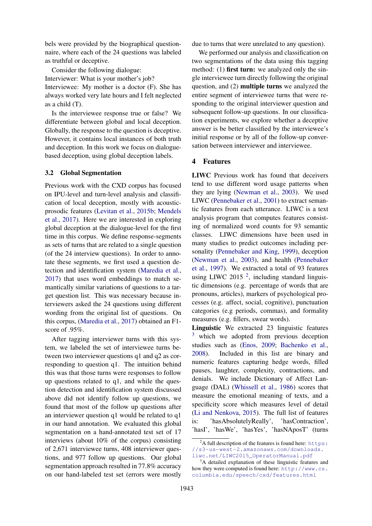bels were provided by the biographical questionnaire, where each of the 24 questions was labeled as truthful or deceptive.

Consider the following dialogue:

Interviewer: What is your mother's job?

Interviewee: My mother is a doctor (F). She has always worked very late hours and I felt neglected as a child (T).

Is the interviewee response true or false? We differentiate between global and local deception. Globally, the response to the question is deceptive. However, it contains local instances of both truth and deception. In this work we focus on dialoguebased deception, using global deception labels.

#### 3.2 Global Segmentation

Previous work with the CXD corpus has focused on IPU-level and turn-level analysis and classification of local deception, mostly with acousticprosodic features (Levitan et al., 2015b; Mendels et al., 2017). Here we are interested in exploring global deception at the dialogue-level for the first time in this corpus. We define response-segments as sets of turns that are related to a single question (of the 24 interview questions). In order to annotate these segments, we first used a question detection and identification system (Maredia et al., 2017) that uses word embeddings to match semantically similar variations of questions to a target question list. This was necessary because interviewers asked the 24 questions using different wording from the original list of questions. On this corpus, (Maredia et al., 2017) obtained an F1 score of .95%.

After tagging interviewer turns with this system, we labeled the set of interviewee turns between two interviewer questions q1 and q2 as corresponding to question q1. The intuition behind this was that those turns were responses to follow up questions related to q1, and while the question detection and identification system discussed above did not identify follow up questions, we found that most of the follow up questions after an interviewer question q1 would be related to q1 in our hand annotation. We evaluated this global segmentation on a hand-annotated test set of 17 interviews (about 10% of the corpus) consisting of 2,671 interviewee turns, 408 interviewer questions, and 977 follow up questions. Our global segmentation approach resulted in 77.8% accuracy on our hand-labeled test set (errors were mostly

due to turns that were unrelated to any question).

We performed our analysis and classification on two segmentations of the data using this tagging method: (1) **first turn:** we analyzed only the single interviewee turn directly following the original question, and (2) multiple turns we analyzed the entire segment of interviewee turns that were responding to the original interviewer question and subsequent follow-up questions. In our classification experiments, we explore whether a deceptive answer is be better classified by the interviewee's initial response or by all of the follow-up conversation between interviewer and interviewee.

## 4 Features

LIWC Previous work has found that deceivers tend to use different word usage patterns when they are lying (Newman et al., 2003). We used LIWC (Pennebaker et al., 2001) to extract semantic features from each utterance. LIWC is a text analysis program that computes features consisting of normalized word counts for 93 semantic classes. LIWC dimensions have been used in many studies to predict outcomes including personality (Pennebaker and King, 1999), deception (Newman et al., 2003), and health (Pennebaker et al., 1997). We extracted a total of 93 features using LIWC 2015<sup>2</sup>, including standard linguistic dimensions (e.g. percentage of words that are pronouns, articles), markers of psychological processes (e.g. affect, social, cognitive), punctuation categories (e.g periods, commas), and formality measures (e.g. fillers, swear words).

Linguistic We extracted 23 linguistic features <sup>3</sup> which we adopted from previous deception studies such as (Enos, 2009; Bachenko et al., 2008). Included in this list are binary and numeric features capturing hedge words, filled pauses, laughter, complexity, contractions, and denials. We include Dictionary of Affect Language (DAL) (Whissell et al., 1986) scores that measure the emotional meaning of texts, and a specificity score which measures level of detail (Li and Nenkova, 2015). The full list of features is: 'hasAbsolutelyReally', 'hasContraction', 'hasI', 'hasWe', 'hasYes', 'hasNAposT' (turns

 ${}^{2}$ A full description of the features is found here: https: //s3-us-west-2.amazonaws.com/downloads. liwc.net/LIWC2015\_OperatorManual.pdf

<sup>&</sup>lt;sup>3</sup>A detailed explanation of these linguistic features and how they were computed is found here: http://www.cs. columbia.edu/speech/cxd/features.html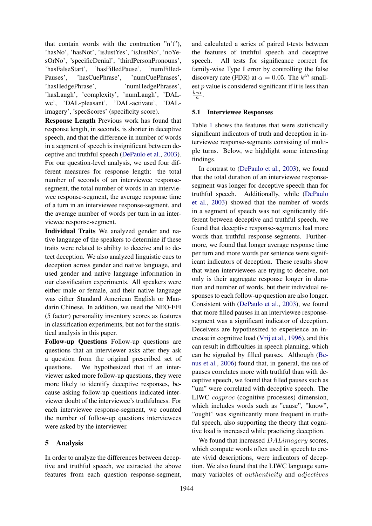that contain words with the contraction "n't"), 'hasNo', 'hasNot', 'isJustYes', 'isJustNo', 'noYesOrNo', 'specificDenial', 'thirdPersonPronouns', 'hasFalseStart', 'hasFilledPause', 'numFilled-Pauses', 'hasCuePhrase', 'numCuePhrases', 'hasHedgePhrase', 'numHedgePhrases', 'hasLaugh', 'complexity', 'numLaugh', 'DALwc', 'DAL-pleasant', 'DAL-activate', 'DALimagery', 'specScores' (specificity score).

Response Length Previous work has found that response length, in seconds, is shorter in deceptive speech, and that the difference in number of words in a segment of speech is insignificant between deceptive and truthful speech (DePaulo et al., 2003). For our question-level analysis, we used four different measures for response length: the total number of seconds of an interviewee responsesegment, the total number of words in an interviewee response-segment, the average response time of a turn in an interviewee response-segment, and the average number of words per turn in an interviewee response-segment.

Individual Traits We analyzed gender and native language of the speakers to determine if these traits were related to ability to deceive and to detect deception. We also analyzed linguistic cues to deception across gender and native language, and used gender and native language information in our classification experiments. All speakers were either male or female, and their native language was either Standard American English or Mandarin Chinese. In addition, we used the NEO-FFI (5 factor) personality inventory scores as features in classification experiments, but not for the statistical analysis in this paper.

Follow-up Questions Follow-up questions are questions that an interviewer asks after they ask a question from the original prescribed set of questions. We hypothesized that if an interviewer asked more follow-up questions, they were more likely to identify deceptive responses, because asking follow-up questions indicated interviewer doubt of the interviewee's truthfulness. For each interviewee response-segment, we counted the number of follow-up questions interviewees were asked by the interviewer.

# 5 Analysis

In order to analyze the differences between deceptive and truthful speech, we extracted the above features from each question response-segment,

and calculated a series of paired t-tests between the features of truthful speech and deceptive speech. All tests for significance correct for family-wise Type I error by controlling the false discovery rate (FDR) at  $\alpha = 0.05$ . The  $k^{th}$  smallest  $p$  value is considered significant if it is less than  $\frac{k*\alpha}{n}$ .

## 5.1 Interviewee Responses

Table 1 shows the features that were statistically significant indicators of truth and deception in interviewee response-segments consisting of multiple turns. Below, we highlight some interesting findings.

In contrast to (DePaulo et al., 2003), we found that the total duration of an interviewee responsesegment was longer for deceptive speech than for truthful speech. Additionally, while (DePaulo et al., 2003) showed that the number of words in a segment of speech was not significantly different between deceptive and truthful speech, we found that deceptive response-segments had more words than truthful response-segments. Furthermore, we found that longer average response time per turn and more words per sentence were significant indicators of deception. These results show that when interviewees are trying to deceive, not only is their aggregate response longer in duration and number of words, but their individual responses to each follow-up question are also longer. Consistent with (DePaulo et al., 2003), we found that more filled pauses in an interviewee responsesegment was a significant indicator of deception. Deceivers are hypothesized to experience an increase in cognitive load (Vrij et al., 1996), and this can result in difficulties in speech planning, which can be signaled by filled pauses. Although (Benus et al., 2006) found that, in general, the use of pauses correlates more with truthful than with deceptive speech, we found that filled pauses such as "um" were correlated with deceptive speech. The LIWC cogproc (cognitive processes) dimension, which includes words such as "cause", "know", "ought" was significantly more frequent in truthful speech, also supporting the theory that cognitive load is increased while practicing deception.

We found that increased  $DALimagery$  scores, which compute words often used in speech to create vivid descriptions, were indicators of deception. We also found that the LIWC language summary variables of authenticity and adjectives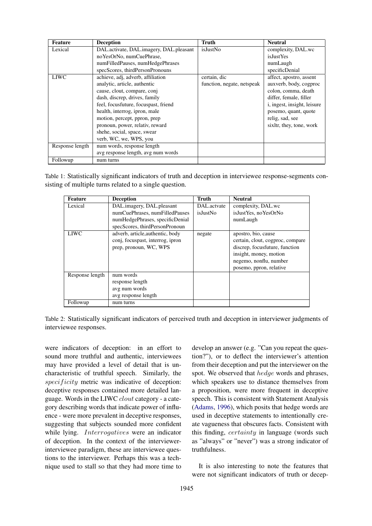| Feature         | <b>Deception</b>                        | <b>Truth</b>               | <b>Neutral</b>                      |
|-----------------|-----------------------------------------|----------------------------|-------------------------------------|
| Lexical         | DAL.activate, DAL.imagery, DAL.pleasant | isJustNo                   | complexity, DAL.wc                  |
|                 | noYesOrNo, numCuePhrase,                |                            | <i>isJustYes</i>                    |
|                 | numFilledPauses, numHedgePhrases        |                            | numLaugh                            |
|                 | specScores, thirdPersonPronouns         |                            | specificDenial                      |
| <b>LIWC</b>     | achieve, adj, adverb, affiliation       | certain, dic               | affect, apostro, assent             |
|                 | analytic, article, authentic            | function, negate, netspeak | auxverb, body, cogproc              |
|                 | cause, clout, compare, conj             |                            | colon, comma, death                 |
|                 | dash, discrep, drives, family           |                            | differ, female, filler              |
|                 | feel, focusfuture, focuspast, friend    |                            | <i>i</i> , ingest, insight, leisure |
|                 | health, interrog, ipron, male           |                            | posemo, quant, quote                |
|                 | motion, percept, ppron, prep            |                            | relig, sad, see                     |
|                 | pronoun, power, relativ, reward         |                            | sixltr, they, tone, work            |
|                 | shehe, social, space, swear             |                            |                                     |
|                 | verb, WC, we, WPS, you                  |                            |                                     |
| Response length | num words, response length              |                            |                                     |
|                 | avg response length, avg num words      |                            |                                     |
| Followup        | num turns                               |                            |                                     |

Table 1: Statistically significant indicators of truth and deception in interviewee response-segments consisting of multiple turns related to a single question.

| Feature         | <b>Deception</b>                 | Truth           | <b>Neutral</b>                   |
|-----------------|----------------------------------|-----------------|----------------------------------|
| Lexical         | DAL.imagery, DAL.pleasant        | DAL.actvate     | complexity, DAL.wc               |
|                 | numCuePhrases, numFilledPauses   | <i>isJustNo</i> | isJustYes, noYesOrNo             |
|                 | numHedgePhrases, specificDenial  |                 | numLaugh                         |
|                 | specScores, thirdPersonPronoun   |                 |                                  |
| <b>LIWC</b>     | adverb, article, authentic, body | negate          | apostro, bio, cause              |
|                 | conj, focuspast, interrog, ipron |                 | certain, clout, cogproc, compare |
|                 | prep, pronoun, WC, WPS           |                 | discrep, focusfuture, function   |
|                 |                                  |                 | insight, money, motion           |
|                 |                                  |                 | negemo, nonflu, number           |
|                 |                                  |                 | posemo, ppron, relative          |
| Response length | num words                        |                 |                                  |
|                 | response length                  |                 |                                  |
|                 | avg num words                    |                 |                                  |
|                 | avg response length              |                 |                                  |
| Followup        | num turns                        |                 |                                  |

Table 2: Statistically significant indicators of perceived truth and deception in interviewer judgments of interviewee responses.

were indicators of deception: in an effort to sound more truthful and authentic, interviewees may have provided a level of detail that is uncharacteristic of truthful speech. Similarly, the specificity metric was indicative of deception: deceptive responses contained more detailed language. Words in the LIWC clout category - a category describing words that indicate power of influence - were more prevalent in deceptive responses, suggesting that subjects sounded more confident while lying. *Interrogatives* were an indicator of deception. In the context of the interviewerinterviewee paradigm, these are interviewee questions to the interviewer. Perhaps this was a technique used to stall so that they had more time to develop an answer (e.g. "Can you repeat the question?"), or to deflect the interviewer's attention from their deception and put the interviewer on the spot. We observed that *hedge* words and phrases, which speakers use to distance themselves from a proposition, were more frequent in deceptive speech. This is consistent with Statement Analysis (Adams, 1996), which posits that hedge words are used in deceptive statements to intentionally create vagueness that obscures facts. Consistent with this finding, certainty in language (words such as "always" or "never") was a strong indicator of truthfulness.

It is also interesting to note the features that were not significant indicators of truth or decep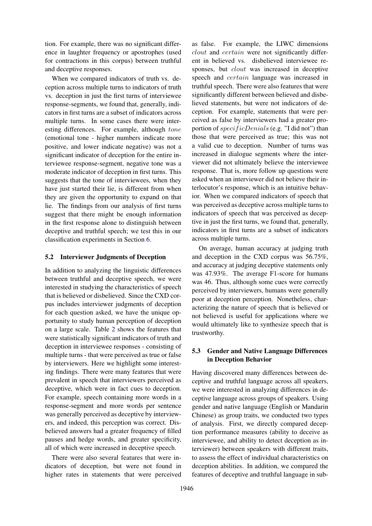tion. For example, there was no significant difference in laughter frequency or apostrophes (used for contractions in this corpus) between truthful and deceptive responses.

When we compared indicators of truth vs. deception across multiple turns to indicators of truth vs. deception in just the first turns of interviewee response-segments, we found that, generally, indicators in first turns are a subset of indicators across multiple turns. In some cases there were interesting differences. For example, although tone (emotional tone - higher numbers indicate more positive, and lower indicate negative) was not a significant indicator of deception for the entire interviewee response-segment, negative tone was a moderate indicator of deception in first turns. This suggests that the tone of interviewees, when they have just started their lie, is different from when they are given the opportunity to expand on that lie. The findings from our analysis of first turns suggest that there might be enough information in the first response alone to distinguish between deceptive and truthful speech; we test this in our classification experiments in Section 6.

## 5.2 Interviewer Judgments of Deception

In addition to analyzing the linguistic differences between truthful and deceptive speech, we were interested in studying the characteristics of speech that is believed or disbelieved. Since the CXD corpus includes interviewer judgments of deception for each question asked, we have the unique opportunity to study human perception of deception on a large scale. Table 2 shows the features that were statistically significant indicators of truth and deception in interviewee responses - consisting of multiple turns - that were perceived as true or false by interviewers. Here we highlight some interesting findings. There were many features that were prevalent in speech that interviewers perceived as deceptive, which were in fact cues to deception. For example, speech containing more words in a response-segment and more words per sentence was generally perceived as deceptive by interviewers, and indeed, this perception was correct. Disbelieved answers had a greater frequency of filled pauses and hedge words, and greater specificity, all of which were increased in deceptive speech.

There were also several features that were indicators of deception, but were not found in higher rates in statements that were perceived

as false. For example, the LIWC dimensions clout and certain were not significantly different in believed vs. disbelieved interviewee responses, but *clout* was increased in deceptive speech and certain language was increased in truthful speech. There were also features that were significantly different between believed and disbelieved statements, but were not indicators of deception. For example, statements that were perceived as false by interviewers had a greater proportion of *specificDenials* (e.g. "I did not") than those that were perceived as true; this was not a valid cue to deception. Number of turns was increased in dialogue segments where the interviewer did not ultimately believe the interviewee response. That is, more follow up questions were asked when an interviewer did not believe their interlocutor's response, which is an intuitive behavior. When we compared indicators of speech that was perceived as deceptive across multiple turns to indicators of speech that was perceived as deceptive in just the first turns, we found that, generally, indicators in first turns are a subset of indicators across multiple turns.

On average, human accuracy at judging truth and deception in the CXD corpus was 56.75%, and accuracy at judging deceptive statements only was 47.93%. The average F1-score for humans was 46. Thus, although some cues were correctly perceived by interviewers, humans were generally poor at deception perception. Nonetheless, characterizing the nature of speech that is believed or not believed is useful for applications where we would ultimately like to synthesize speech that is trustworthy.

# 5.3 Gender and Native Language Differences in Deception Behavior

Having discovered many differences between deceptive and truthful language across all speakers, we were interested in analyzing differences in deceptive language across groups of speakers. Using gender and native language (English or Mandarin Chinese) as group traits, we conducted two types of analysis. First, we directly compared deception performance measures (ability to deceive as interviewee, and ability to detect deception as interviewer) between speakers with different traits, to assess the effect of individual characteristics on deception abilities. In addition, we compared the features of deceptive and truthful language in sub-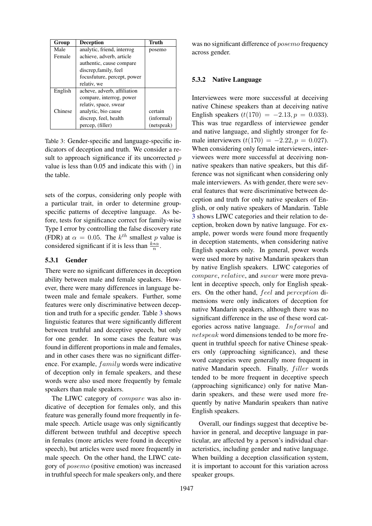| Group   | Deception                   | Truth      |  |
|---------|-----------------------------|------------|--|
| Male    | analytic, friend, interrog  | posemo     |  |
| Female  | achieve, adverb, article    |            |  |
|         | authentic, cause compare    |            |  |
|         | discrep, family, feel       |            |  |
|         | focusfuture, percept, power |            |  |
|         | relativ, we                 |            |  |
| English | acheve, adverb, affiliation |            |  |
|         | compare, interrog, power    |            |  |
|         | relativ, space, swear       |            |  |
| Chinese | analytic, bio cause         | certain    |  |
|         | discrep, feel, health       | (informal) |  |
|         | percep, (filler)            | (netspeak) |  |

Table 3: Gender-specific and language-specific indicators of deception and truth. We consider a result to approach significance if its uncorrected  $p$ value is less than 0.05 and indicate this with () in the table.

sets of the corpus, considering only people with a particular trait, in order to determine groupspecific patterns of deceptive language. As before, tests for significance correct for family-wise Type I error by controlling the false discovery rate (FDR) at  $\alpha = 0.05$ . The  $k^{th}$  smallest p value is considered significant if it is less than  $\frac{k*\alpha}{n}$ .

#### 5.3.1 Gender

There were no significant differences in deception ability between male and female speakers. However, there were many differences in language between male and female speakers. Further, some features were only discriminative between deception and truth for a specific gender. Table 3 shows linguistic features that were significantly different between truthful and deceptive speech, but only for one gender. In some cases the feature was found in different proportions in male and females, and in other cases there was no significant difference. For example,  $family$  words were indicative of deception only in female speakers, and these words were also used more frequently by female speakers than male speakers.

The LIWC category of compare was also indicative of deception for females only, and this feature was generally found more frequently in female speech. Article usage was only significantly different between truthful and deceptive speech in females (more articles were found in deceptive speech), but articles were used more frequently in male speech. On the other hand, the LIWC category of posemo (positive emotion) was increased in truthful speech for male speakers only, and there

was no significant difference of *posemo* frequency across gender.

#### 5.3.2 Native Language

Interviewees were more successful at deceiving native Chinese speakers than at deceiving native English speakers  $(t(170) = -2.13, p = 0.033)$ . This was true regardless of interviewee gender and native language, and slightly stronger for female interviewers  $(t(170) = -2.22, p = 0.027)$ . When considering only female interviewers, interviewees were more successful at deceiving nonnative speakers than native speakers, but this difference was not significant when considering only male interviewers. As with gender, there were several features that were discriminative between deception and truth for only native speakers of English, or only native speakers of Mandarin. Table 3 shows LIWC categories and their relation to deception, broken down by native language. For example, power words were found more frequently in deception statements, when considering native English speakers only. In general, power words were used more by native Mandarin speakers than by native English speakers. LIWC categories of compare, relative, and swear were more prevalent in deceptive speech, only for English speakers. On the other hand, feel and perception dimensions were only indicators of deception for native Mandarin speakers, although there was no significant difference in the use of these word categories across native language. Informal and netspeak word dimensions tended to be more frequent in truthful speech for native Chinese speakers only (approaching significance), and these word categories were generally more frequent in native Mandarin speech. Finally, *filler* words tended to be more frequent in deceptive speech (approaching significance) only for native Mandarin speakers, and these were used more frequently by native Mandarin speakers than native English speakers.

Overall, our findings suggest that deceptive behavior in general, and deceptive language in particular, are affected by a person's individual characteristics, including gender and native language. When building a deception classification system, it is important to account for this variation across speaker groups.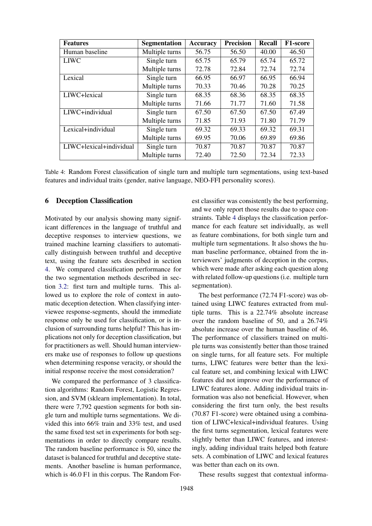| <b>Features</b>         | <b>Segmentation</b> | Accuracy | <b>Precision</b> | <b>Recall</b> | F1-score |
|-------------------------|---------------------|----------|------------------|---------------|----------|
| Human baseline          | Multiple turns      | 56.75    | 56.50            | 40.00         | 46.50    |
| <b>LIWC</b>             | Single turn         | 65.75    | 65.79            | 65.74         | 65.72    |
|                         | Multiple turns      | 72.78    | 72.84            | 72.74         | 72.74    |
| Lexical                 | Single turn         | 66.95    | 66.97            | 66.95         | 66.94    |
|                         | Multiple turns      | 70.33    | 70.46            | 70.28         | 70.25    |
| LIWC+lexical            | Single turn         | 68.35    | 68.36            | 68.35         | 68.35    |
|                         | Multiple turns      | 71.66    | 71.77            | 71.60         | 71.58    |
| LIWC+individual         | Single turn         | 67.50    | 67.50            | 67.50         | 67.49    |
|                         | Multiple turns      | 71.85    | 71.93            | 71.80         | 71.79    |
| Lexical+individual      | Single turn         | 69.32    | 69.33            | 69.32         | 69.31    |
|                         | Multiple turns      | 69.95    | 70.06            | 69.89         | 69.86    |
| LIWC+lexical+individual | Single turn         | 70.87    | 70.87            | 70.87         | 70.87    |
|                         | Multiple turns      | 72.40    | 72.50            | 72.34         | 72.33    |

Table 4: Random Forest classification of single turn and multiple turn segmentations, using text-based features and individual traits (gender, native language, NEO-FFI personality scores).

# 6 Deception Classification

Motivated by our analysis showing many significant differences in the language of truthful and deceptive responses to interview questions, we trained machine learning classifiers to automatically distinguish between truthful and deceptive text, using the feature sets described in section 4. We compared classification performance for the two segmentation methods described in section 3.2: first turn and multiple turns. This allowed us to explore the role of context in automatic deception detection. When classifying interviewee response-segments, should the immediate response only be used for classification, or is inclusion of surrounding turns helpful? This has implications not only for deception classification, but for practitioners as well. Should human interviewers make use of responses to follow up questions when determining response veracity, or should the initial response receive the most consideration?

We compared the performance of 3 classification algorithms: Random Forest, Logistic Regression, and SVM (sklearn implementation). In total, there were 7,792 question segments for both single turn and multiple turns segmentations. We divided this into 66% train and 33% test, and used the same fixed test set in experiments for both segmentations in order to directly compare results. The random baseline performance is 50, since the dataset is balanced for truthful and deceptive statements. Another baseline is human performance, which is 46.0 F1 in this corpus. The Random Forest classifier was consistently the best performing, and we only report those results due to space constraints. Table 4 displays the classification performance for each feature set individually, as well as feature combinations, for both single turn and multiple turn segmentations. It also shows the human baseline performance, obtained from the interviewers' judgments of deception in the corpus, which were made after asking each question along with related follow-up questions (i.e. multiple turn segmentation).

The best performance (72.74 F1-score) was obtained using LIWC features extracted from multiple turns. This is a 22.74% absolute increase over the random baseline of 50, and a 26.74% absolute increase over the human baseline of 46. The performance of classifiers trained on multiple turns was consistently better than those trained on single turns, for all feature sets. For multiple turns, LIWC features were better than the lexical feature set, and combining lexical with LIWC features did not improve over the performance of LIWC features alone. Adding individual traits information was also not beneficial. However, when considering the first turn only, the best results (70.87 F1-score) were obtained using a combination of LIWC+lexical+individual features. Using the first turns segmentation, lexical features were slightly better than LIWC features, and interestingly, adding individual traits helped both feature sets. A combination of LIWC and lexical features was better than each on its own.

These results suggest that contextual informa-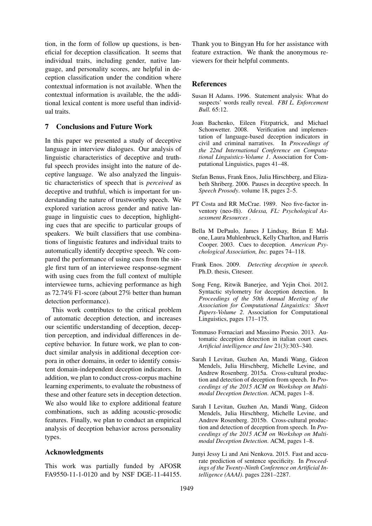tion, in the form of follow up questions, is beneficial for deception classification. It seems that individual traits, including gender, native language, and personality scores, are helpful in deception classification under the condition where contextual information is not available. When the contextual information is available, the the additional lexical content is more useful than individual traits.

# 7 Conclusions and Future Work

In this paper we presented a study of deceptive language in interview dialogues. Our analysis of linguistic characteristics of deceptive and truthful speech provides insight into the nature of deceptive language. We also analyzed the linguistic characteristics of speech that is *perceived* as deceptive and truthful, which is important for understanding the nature of trustworthy speech. We explored variation across gender and native language in linguistic cues to deception, highlighting cues that are specific to particular groups of speakers. We built classifiers that use combinations of linguistic features and individual traits to automatically identify deceptive speech. We compared the performance of using cues from the single first turn of an interviewee response-segment with using cues from the full context of multiple interviewee turns, achieving performance as high as 72.74% F1-score (about 27% better than human detection performance).

This work contributes to the critical problem of automatic deception detection, and increases our scientific understanding of deception, deception perception, and individual differences in deceptive behavior. In future work, we plan to conduct similar analysis in additional deception corpora in other domains, in order to identify consistent domain-independent deception indicators. In addition, we plan to conduct cross-corpus machine learning experiments, to evaluate the robustness of these and other feature sets in deception detection. We also would like to explore additional feature combinations, such as adding acoustic-prosodic features. Finally, we plan to conduct an empirical analysis of deception behavior across personality types.

## Acknowledgments

This work was partially funded by AFOSR FA9550-11-1-0120 and by NSF DGE-11-44155. Thank you to Bingyan Hu for her assistance with feature extraction. We thank the anonymous reviewers for their helpful comments.

#### References

- Susan H Adams. 1996. Statement analysis: What do suspects' words really reveal. *FBI L. Enforcement Bull.* 65:12.
- Joan Bachenko, Eileen Fitzpatrick, and Michael Schonwetter. 2008. Verification and implementation of language-based deception indicators in civil and criminal narratives. In *Proceedings of the 22nd International Conference on Computational Linguistics-Volume 1*. Association for Computational Linguistics, pages 41–48.
- Stefan Benus, Frank Enos, Julia Hirschberg, and Elizabeth Shriberg. 2006. Pauses in deceptive speech. In *Speech Prosody*. volume 18, pages 2–5.
- PT Costa and RR McCrae. 1989. Neo five-factor inventory (neo-ffi). *Odessa, FL: Psychological Assessment Resources* .
- Bella M DePaulo, James J Lindsay, Brian E Malone, Laura Muhlenbruck, Kelly Charlton, and Harris Cooper. 2003. Cues to deception. *American Psychological Association, Inc.* pages 74–118.
- Frank Enos. 2009. *Detecting deception in speech*. Ph.D. thesis, Citeseer.
- Song Feng, Ritwik Banerjee, and Yejin Choi. 2012. Syntactic stylometry for deception detection. In *Proceedings of the 50th Annual Meeting of the Association for Computational Linguistics: Short Papers-Volume 2*. Association for Computational Linguistics, pages 171–175.
- Tommaso Fornaciari and Massimo Poesio. 2013. Automatic deception detection in italian court cases. *Artificial intelligence and law* 21(3):303–340.
- Sarah I Levitan, Guzhen An, Mandi Wang, Gideon Mendels, Julia Hirschberg, Michelle Levine, and Andrew Rosenberg. 2015a. Cross-cultural production and detection of deception from speech. In *Proceedings of the 2015 ACM on Workshop on Multimodal Deception Detection*. ACM, pages 1–8.
- Sarah I Levitan, Guzhen An, Mandi Wang, Gideon Mendels, Julia Hirschberg, Michelle Levine, and Andrew Rosenberg. 2015b. Cross-cultural production and detection of deception from speech. In *Proceedings of the 2015 ACM on Workshop on Multimodal Deception Detection*. ACM, pages 1–8.
- Junyi Jessy Li and Ani Nenkova. 2015. Fast and accurate prediction of sentence specificity. In *Proceedings of the Twenty-Ninth Conference on Artificial Intelligence (AAAI)*. pages 2281–2287.